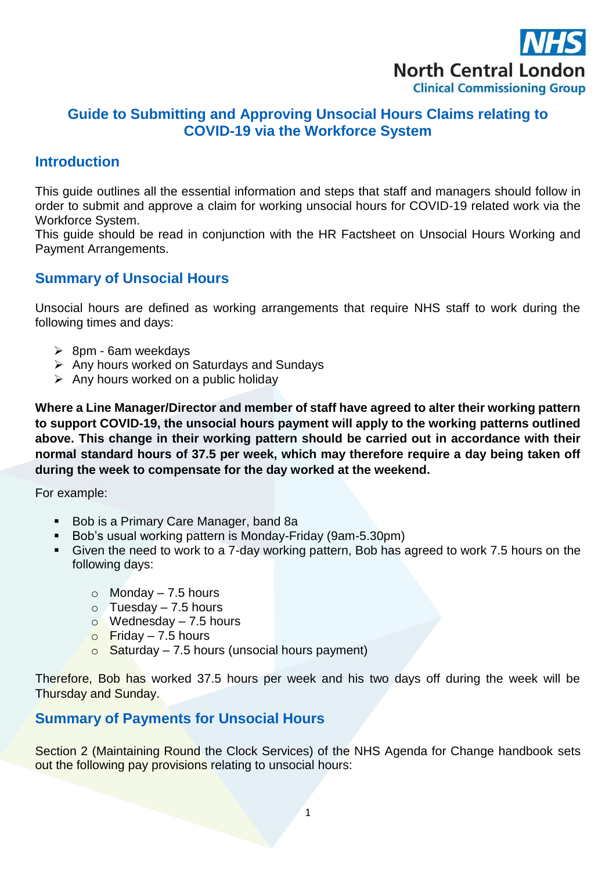

# **Guide to Submitting and Approving Unsocial Hours Claims relating to COVID-19 via the Workforce System**

## **Introduction**

This guide outlines all the essential information and steps that staff and managers should follow in order to submit and approve a claim for working unsocial hours for COVID-19 related work via the Workforce System.

This guide should be read in conjunction with the HR Factsheet on Unsocial Hours Working and Payment Arrangements.

## **Summary of Unsocial Hours**

Unsocial hours are defined as working arrangements that require NHS staff to work during the following times and days:

- $\geq$  8pm 6am weekdays
- $\triangleright$  Any hours worked on Saturdays and Sundays
- $\triangleright$  Any hours worked on a public holiday

**Where a Line Manager/Director and member of staff have agreed to alter their working pattern to support COVID-19, the unsocial hours payment will apply to the working patterns outlined above. This change in their working pattern should be carried out in accordance with their normal standard hours of 37.5 per week, which may therefore require a day being taken off during the week to compensate for the day worked at the weekend.** 

For example:

- Bob is a Primary Care Manager, band 8a
- Bob's usual working pattern is Monday-Friday (9am-5.30pm)
- Given the need to work to a 7-day working pattern, Bob has agreed to work 7.5 hours on the following days:
	- $\circ$  Monday 7.5 hours
	- $\circ$  Tuesday 7.5 hours
	- $\circ$  Wednesday 7.5 hours
	- $\circ$  Friday 7.5 hours
	- $\circ$  Saturday 7.5 hours (unsocial hours payment)

Therefore, Bob has worked 37.5 hours per week and his two days off during the week will be Thursday and Sunday.

### **Summary of Payments for Unsocial Hours**

Section 2 (Maintaining Round the Clock Services) of the NHS Agenda for Change handbook sets out the following pay provisions relating to unsocial hours: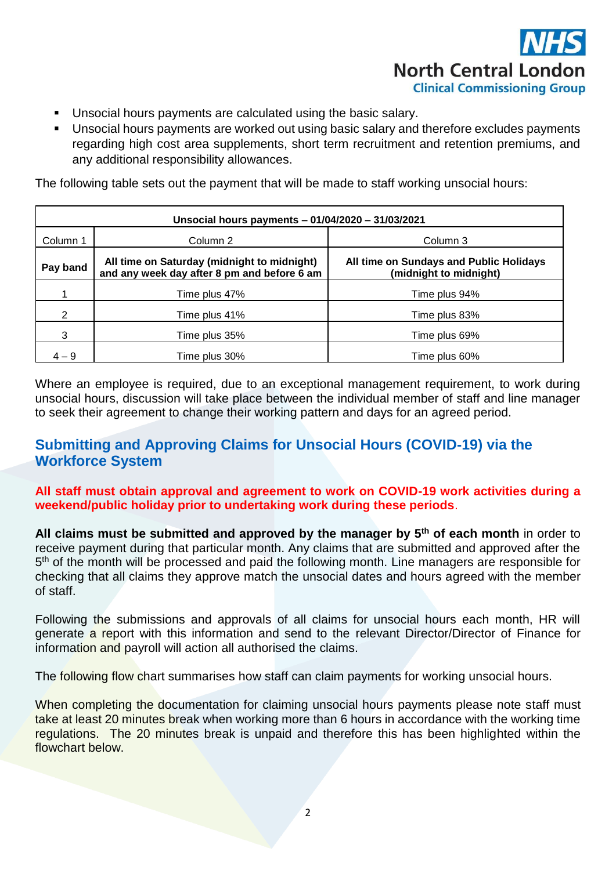

- Unsocial hours payments are calculated using the basic salary.
- Unsocial hours payments are worked out using basic salary and therefore excludes payments regarding high cost area supplements, short term recruitment and retention premiums, and any additional responsibility allowances.

The following table sets out the payment that will be made to staff working unsocial hours:

| Unsocial hours payments - 01/04/2020 - 31/03/2021 |                                                                                            |                                                                   |  |
|---------------------------------------------------|--------------------------------------------------------------------------------------------|-------------------------------------------------------------------|--|
| Column 1                                          | Column 2                                                                                   | Column 3                                                          |  |
| Pay band                                          | All time on Saturday (midnight to midnight)<br>and any week day after 8 pm and before 6 am | All time on Sundays and Public Holidays<br>(midnight to midnight) |  |
|                                                   | Time plus 47%                                                                              | Time plus 94%                                                     |  |
| 2                                                 | Time plus 41%                                                                              | Time plus 83%                                                     |  |
| 3                                                 | Time plus 35%                                                                              | Time plus 69%                                                     |  |
| $4 - 9$                                           | Time plus 30%                                                                              | Time plus 60%                                                     |  |

Where an employee is required, due to an exceptional management requirement, to work during unsocial hours, discussion will take place between the individual member of staff and line manager to seek their agreement to change their working pattern and days for an agreed period.

# **Submitting and Approving Claims for Unsocial Hours (COVID-19) via the Workforce System**

**All staff must obtain approval and agreement to work on COVID-19 work activities during a weekend/public holiday prior to undertaking work during these periods**.

**All claims must be submitted and approved by the manager by 5 th of each month** in order to receive payment during that particular month. Any claims that are submitted and approved after the 5<sup>th</sup> of the month will be processed and paid the following month. Line managers are responsible for checking that all claims they approve match the unsocial dates and hours agreed with the member of staff.

Following the submissions and approvals of all claims for unsocial hours each month, HR will generate a report with this information and send to the relevant Director/Director of Finance for information and payroll will action all authorised the claims.

The following flow chart summarises how staff can claim payments for working unsocial hours.

When completing the documentation for claiming unsocial hours payments please note staff must take at least 20 minutes break when working more than 6 hours in accordance with the working time regulations. The 20 minutes break is unpaid and therefore this has been highlighted within the flowchart below.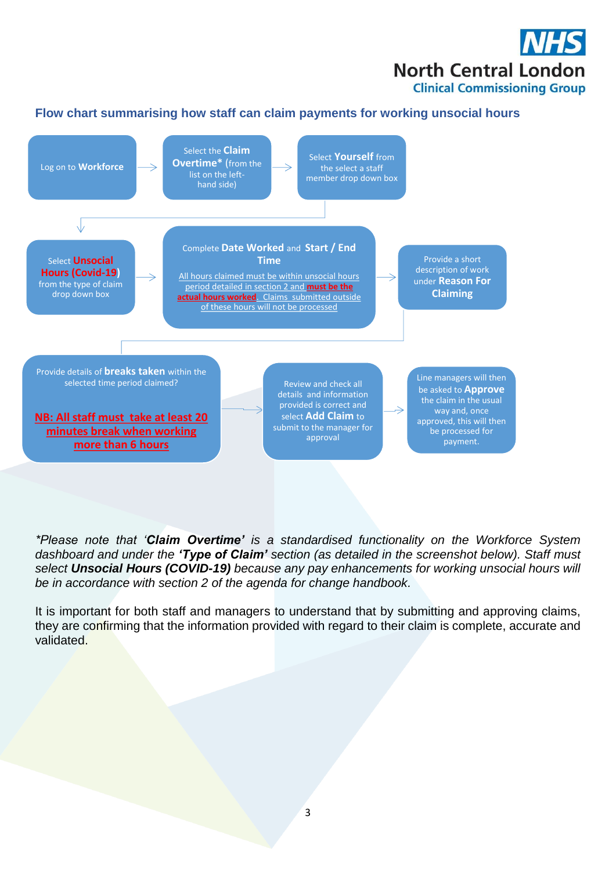

### **Flow chart summarising how staff can claim payments for working unsocial hours**



*\*Please note that 'Claim Overtime' is a standardised functionality on the Workforce System dashboard and under the 'Type of Claim' section (as detailed in the screenshot below). Staff must select Unsocial Hours (COVID-19) because any pay enhancements for working unsocial hours will be in accordance with section 2 of the agenda for change handbook.*

It is important for both staff and managers to understand that by submitting and approving claims, they are confirming that the information provided with regard to their claim is complete, accurate and validated.